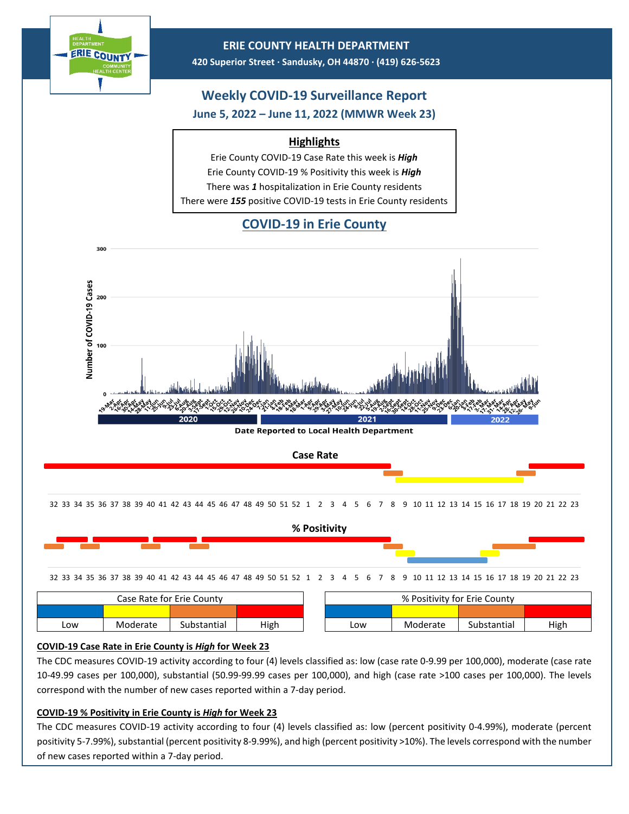



**Date Reported to Local Health Department** 

2021

32 33 34 35 36 37 38 39 40 41 42 43 44 45 46 47 48 49 50 51 52 1 2 3 4 5 6 7 8 9 10 11 12 13 14 15 16 17 18 19 20 21 22 23



| Case Rate for Erie Countv |          |             |      | % Positivity for Erie County |          |             |      |  |
|---------------------------|----------|-------------|------|------------------------------|----------|-------------|------|--|
|                           |          |             |      |                              |          |             |      |  |
| ∟ow                       | Moderate | Substantial | High | LOW                          | Moderate | Substantial | High |  |

## **COVID-19 Case Rate in Erie County is** *High* **for Week 23**

2020

100

The CDC measures COVID-19 activity according to four (4) levels classified as: low (case rate 0-9.99 per 100,000), moderate (case rate 10-49.99 cases per 100,000), substantial (50.99-99.99 cases per 100,000), and high (case rate >100 cases per 100,000). The levels correspond with the number of new cases reported within a 7-day period.

## **COVID-19 % Positivity in Erie County is** *High* **for Week 23**

The CDC measures COVID-19 activity according to four (4) levels classified as: low (percent positivity 0-4.99%), moderate (percent positivity 5-7.99%), substantial (percent positivity 8-9.99%), and high (percent positivity >10%). The levels correspond with the number of new cases reported within a 7-day period.